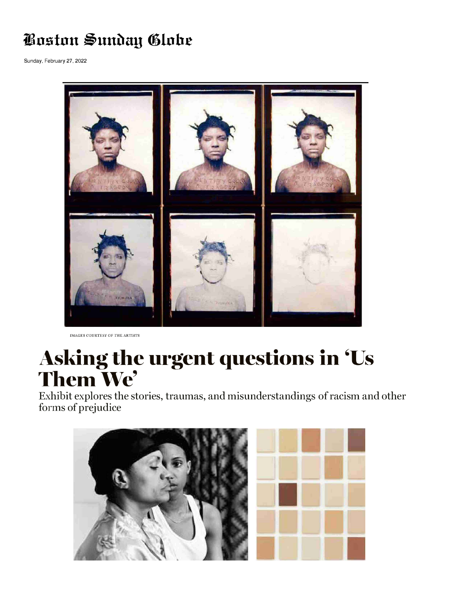## Boston Sunday Globe

Sunday, February 27, 2022



IMAGES COURTESY OF THE ARTISTS

# Asking the urgent questions in 'Us Them We'

Exhibit explores the stories, traumas, and misunderstandings of racism and other forms of prejudice